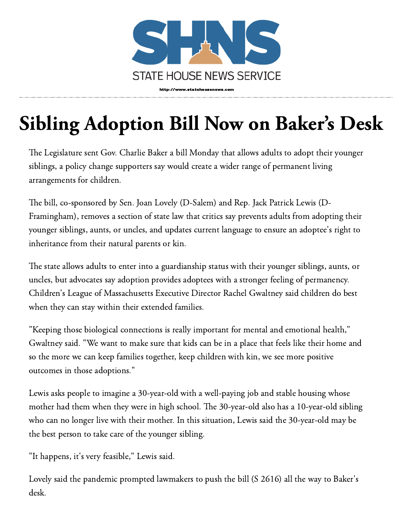

## Sibling Adoption Bill Now on Baker's Desk

The Legislature sent Gov. Charlie Baker a bill Monday that allows adults to adopt their younger siblings, a policy change supporters say would create a wider range of permanent living arrangements for children.

The bill, co-sponsored by Sen. Joan Lovely (D-Salem) and Rep. Jack Patrick Lewis (D-Framingham), removes a section of state law that critics say prevents adults from adopting their younger siblings, aunts, or uncles, and updates current language to ensure an adoptee's right to inheritance from their natural parents or kin.

The state allows adults to enter into a guardianship status with their younger siblings, aunts, or uncles, but advocates say adoption provides adoptees with a stronger feeling of permanency. Children's League of Massachusetts Executive Director Rachel Gwaltney said children do best when they can stay within their extended families.

"Keeping those biological connections is really important for mental and emotional health," Gwaltney said. "We want to make sure that kids can be in a place that feels like their home and so the more we can keep families together, keep children with kin, we see more positive outcomes in those adoptions."

Lewis asks people to imagine a 30-year-old with a well-paying job and stable housing whose mother had them when they were in high school. The 30-year-old also has a 10-year-old sibling who can no longer live with their mother. In this situation, Lewis said the 30-year-old may be the best person to take care of the younger sibling.

"It happens, it's very feasible," Lewis said.

Lovely said the pandemic prompted lawmakers to push the bill (S 2616) all the way to Baker's desk.